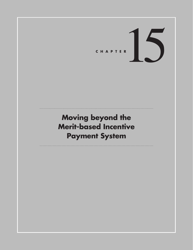CHAPTER<sup>15</sup>

# **Moving beyond the Merit-based Incentive Payment System**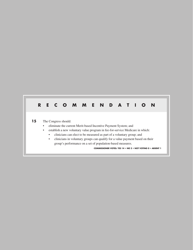# **RECOMMENDATION**

### 15 The Congress should:

- eliminate the current Merit-based Incentive Payment System; and
- establish a new voluntary value program in fee-for-service Medicare in which:
	- clinicians can elect to be measured as part of a voluntary group; and
	- clinicians in voluntary groups can qualify for a value payment based on their group's performance on a set of population-based measures.

**COMMISSIONER VOTES: YES 14 • NO 2 • NOT VOTING 0 • ABSENT 1**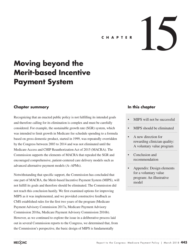# C H A P T E R **15 A P 15 A P 15 A P 15 A P 15 A P 15 A**

# **Moving beyond the Merit-based Incentive Payment System**

### **Chapter summary**

Recognizing that an enacted public policy is not fulfilling its intended goals and therefore calling for its elimination is complex and must be carefully considered. For example, the sustainable growth rate (SGR) system, which was intended to limit growth in Medicare fee schedule spending to a formula based on gross domestic product, started in 1999, was repeatedly overridden by the Congress between 2003 to 2014 and was not eliminated until the Medicare Access and CHIP Reauthorization Act of 2015 (MACRA). The Commission supports the elements of MACRA that repealed the SGR and encouraged comprehensive, patient-centered care delivery models such as advanced alternative payment models (A–APMs).

Notwithstanding that specific support, the Commission has concluded that one part of MACRA, the Merit-based Incentive Payment System (MIPS), will not fulfill its goals and therefore should be eliminated. The Commission did not reach this conclusion hastily. We first examined options for improving MIPS as it was implemented, and we provided constructive feedback as CMS established rules for the first two years of the program (Medicare Payment Advisory Commission 2017a, Medicare Payment Advisory Commission 2016a, Medicare Payment Advisory Commission 2016b). However, as we continued to explore the issue in a deliberative process laid out in several Commission reports to the Congress, we determined that, from the Commission's perspective, the basic design of MIPS is fundamentally

### **In this chapter**

- MIPS will not be successful
- MIPS should be eliminated
- A new direction for rewarding clinician quality: A voluntary value program
- Conclusion and recommendation
- Appendix: Design elements for a voluntary value program: An illustrative model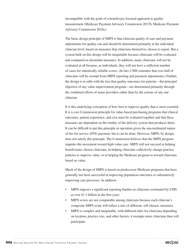incompatible with the goals of a beneficiary-focused approach to quality measurement (Medicare Payment Advisory Commission 2017b, Medicare Payment Advisory Commission 2016c).

The basic design principle of MIPS is that clinician quality of care and payment adjustments for quality can and should be determined primarily at the individual clinician level, based on measures that clinicians themselves choose to report. But a system built on this design will be inequitable because clinicians will be evaluated and compared on dissimilar measures. In addition, many clinicians will not be evaluated at all because, as individuals, they will not have a sufficient number of cases for statistically reliable scores. (In fact, CMS estimates that over half of clinicians will be exempt from MIPS reporting and payment adjustments.) Further, the design is at odds with the fact that quality outcomes for patients—the principal objective of any value improvement program—are determined primarily through the combined efforts of many providers rather than by the actions of any one clinician.

It is this underlying conception of how best to improve quality that is most essential. It is a core Commission principle for value-based purchasing programs that clinical outcomes, patient experience, and cost must be evaluated together and that these measures are dependent on the totality of the delivery system that produces them. It can be difficult to put this principle in operation given the uncoordinated nature of fee-for-service (FFS) payment, but it can be done. However, MIPS, by design, does not satisfy this principle. The Commission believes that the MIPS program impedes the movement toward high-value care. MIPS will not succeed in helping beneficiaries choose clinicians, in helping clinicians collectively change practice patterns to improve value, or in helping the Medicare program to reward clinicians based on value.

Much of the design of MIPS is based on predecessor Medicare programs that have generally not been successful at improving population outcomes or substantively improving care processes. In addition:

- MIPS imposes a significant reporting burden on clinicians (estimated by CMS as over \$1.3 billion in the first year).
- MIPS scores are not comparable among clinicians because each clinician's composite MIPS score will reflect a mix of different, self-chosen, measures.
- MIPS is complex and inequitable, with different rules for clinicians depending on location, practice size, and other factors; it exempts more clinicians than will participate.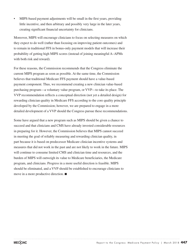• MIPS-based payment adjustments will be small in the first years, providing little incentive, and then arbitrary and possibly very large in the later years, creating significant financial uncertainty for clinicians.

Moreover, MIPS will encourage clinicians to focus on selecting measures on which they expect to do well (rather than focusing on improving patient outcomes) and to remain in traditional FFS in bonus-only payment models that will increase their probability of getting high MIPS scores (instead of joining meaningful A–APMs with both risk and reward).

For these reasons, the Commission recommends that the Congress eliminate the current MIPS program as soon as possible. At the same time, the Commission believes that traditional Medicare FFS payment should have a value-based payment component. Thus, we recommend creating a new clinician value-based purchasing program—a voluntary value program, or VVP—to take its place. The VVP recommendation reflects a conceptual direction (not yet a detailed design) for rewarding clinician quality in Medicare FFS according to the core quality principle developed by the Commission; however, we are prepared to engage in a more detailed development of a VVP should the Congress pursue these recommendations.

Some have argued that a new program such as MIPS should be given a chance to succeed and that clinicians and CMS have already invested considerable resources in preparing for it. However, the Commission believes that MIPS cannot succeed in meeting the goal of reliably measuring and rewarding clinician quality, in part because it is based on predecessor Medicare clinician incentive systems and measures that did not work in the past and are not likely to work in the future. MIPS will continue to consume limited CMS and clinician time and resources, and the burden of MIPS will outweigh its value to Medicare beneficiaries, the Medicare program, and clinicians. Progress in a more useful direction is feasible. MIPS should be eliminated, and a VVP should be established to encourage clinicians to move in a more productive direction. ■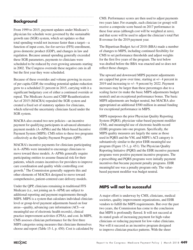# **Background**

From 1999 to 2015, payment updates under Medicare's physician fee schedule were governed by the sustainable growth rate (SGR) system, which set updates so that total spending would not increase faster than a target—a function of input costs, fee-for-service (FFS) enrollment, gross domestic product (GDP), and changes in law and regulation. Because annual spending generally exceeded these SGR parameters, payments to clinicians were scheduled to be reduced by ever-growing amounts starting in 2002. The Congress overrode these negative cuts in all but the first year they were scheduled.

Because of these overrides and volume growing in excess of per capita GDP, the resulting potential update reduction grew to a scheduled 21 percent in 2015, carrying with it a significant budgetary cost of either a continued override or repeal. The Medicare Access and CHIP Reauthorization Act of 2015 (MACRA) repealed the SGR system and created a fixed set of statutory updates for clinicians, which relieved the uncertainty clinicians faced under the SGR system.

MACRA also created two new policies—an incentive payment for qualifying participants in advanced alternative payment models (A–APMs) and the Merit-based Incentive Payment System (MIPS). CMS refers to these two programs collectively as the Quality Payment Program (QPP).

MACRA's incentive payments for clinicians participating in A–APMs were intended to encourage clinicians to move toward these models. A–APMs generally require participating entities to assume financial risk for their patients, which creates incentives for providers to improve care coordination and quality while controlling cost growth.1 The Commission generally supports this and other elements of MACRA designed to move toward comprehensive, patient-centered care delivery models.

Under the QPP, clinicians remaining in traditional FFS Medicare (i.e., not joining an A–APM) are subject to additional reporting and payment requirements through MIPS. MIPS is a system that calculates individual clinicianlevel or group-level payment adjustments based on four areas—quality, advancing care information (ACI—or meaningful use of electronic health records), clinical practice improvement activities (CPIA), and cost. In MIPS, CMS assesses clinician performance for the first three MIPS categories using measures that clinicians themselves choose and report (Table 15-1, p. 450). Cost is calculated by CMS. Performance scores are then used to adjust payments two years later. For example, each clinician (or group) will receive a composite score based on 2017 performance in these four areas (although cost will be weighted at zero), and that score will be used to adjust the clinician's total Part B revenue for the 2019 payment year.

The Bipartisan Budget Act of 2018 (BBA) made a number of changes to MIPS, including continued flexibility for CMS to set performance thresholds and adjust weights for the first five years of the program. The text below was drafted before the BBA was enacted and so does not reflect those changes.

The upward and downward MIPS payment adjustments are capped but grow over time, starting at +/– 4 percent in 2019 and increasing to +/– 9 percent by 2022. Payment increases may be larger than these percentages due to a scaling factor (to make the basic MIPS adjustments budget neutral) and an exceptional performance bonus. The basic MIPS adjustments are budget neutral, but MACRA also appropriated an additional \$500 million in annual funding for exceptional performance in MIPS.

MIPS repurposes the prior Physician Quality Reporting System (PQRS), physician value-based payment modifier (VM), and meaningful use of electronic health record (EHR) programs into one program. Specifically, the MIPS quality measures are largely the same as those used in PQRS and the VM, and MIPS's ACI category is substantively similar to the prior EHR meaningful use program (Figure 15-1, p. 451). The Physician Quality Reporting Initiative (PQRI) and the EHR incentive payment programs were positive payment incentive programs. The e-prescribing and PQRS programs were initially payment incentives that became payment penalty programs. EHR meaningful use was a penalty program only. The valuebased payment modifier was budget neutral.

### **MIPS will not be successful**

A major effort is underway by CMS, clinicians, medical societies, quality improvement organizations, and EHR vendors to fulfill the MIPS requirements. But over the past two years, the Commission has come to the conclusion that MIPS is profoundly flawed. It will not succeed at its stated goals of increasing payment for high-value clinicians or reducing payment for low-value clinicians. Nor will it succeed as an incentive program designed to improve clinician practice patterns. With the sheer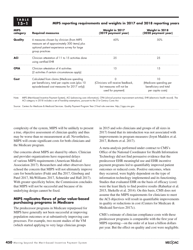### **15–1 MIPS reporting requirements and weights in 2017 and 2018 reporting years**

| <b>MIPS</b><br>category | <b>Required measures</b>                                                                                                                                     | Weight in 2017<br>(2019 payment year)                                                    | Weight in 2018<br>(2020 payment year)                                      |
|-------------------------|--------------------------------------------------------------------------------------------------------------------------------------------------------------|------------------------------------------------------------------------------------------|----------------------------------------------------------------------------|
| Quality                 | 6 measures chosen by clinician (from MIPS<br>measure set of approximately 300 items) plus<br>optional patient experience survey for large<br>group practices | 60%                                                                                      | 50%                                                                        |
| <b>ACI</b>              | Clinician attestation of 11 to 15 activities done<br>using certified EHR                                                                                     | 25                                                                                       | 25                                                                         |
| <b>CPIA</b>             | Clinician attestation of 4 activities<br>(2 activities if certain circumstances apply)                                                                       | 15                                                                                       | 15                                                                         |
| Cost                    | Calculated from claims (Medicare spending<br>per beneficiary, total per capita costs (plus 10<br>episode-based cost measures for 2017 only))                 | 0<br>(Clinicians will receive feedback,<br>but measures will not be<br>used for payment) | 10<br>(Medicare spending per<br>beneficiary and total<br>per capita costs) |

Source: Centers for Medicare & Medicaid Services. Quality Payment Program Year 2 final rule overview. http://qpp.cms.gov.

complexity of the system, MIPS will be unlikely to present a true, objective assessment of clinician quality and thus may be worse than no measurement at all. Nevertheless, MIPS will create significant costs for both clinicians and the Medicare program.

Our concerns about MIPS are shared by others. Clinician and provider organizations have requested delays of various MIPS requirements (American Medical Association 2017). Researchers and other observers have echoed the concern that MIPS will not ultimately improve care for beneficiaries (Frakt and Jha 2017, Ginsburg and Patel 2017, McWilliams 2017, Schneider and Hall 2017). With greater specificity below, the Commission concludes that MIPS will not be successful and because of its underlying design cannot be fixed.

### **MIPS replicates flaws of prior value-based purchasing programs in Medicare**

The predecessor programs in Medicare repurposed for MIPS have generally not been successful at improving population outcomes or at substantively improving care processes. For example, two recent studies of the VM (which started applying to very large clinician groups

in 2015 and solo clinicians and groups of all sizes in 2017) found that its introduction was not associated with improvements in program measures (Joynt Maddox et al. 2017, Roberts et al. 2017).

A meta-analysis performed under contract to CMS's Office of the National Coordinator for Health Information Technology did not find persuasive evidence that the predecessor EHR meaningful use and EHR incentive payment programs led to quantifiably improved patient outcomes or reduced costs. Positive outcomes, when they occurred, were highly dependent on the type of information technology implemented and its functioning. Studies that evaluated EHR on the basis of efficacy (cost) were the least likely to find positive results (Rahurkar et al. 2015, Shekelle et al. 2014). On this basis, CMS does not assume that the MIPS requirements for clinicians to meet the ACI objectives will result in quantifiable improvements in quality or reductions in cost (Centers for Medicare & Medicaid Services 2017c).

CMS's estimate of clinician compliance costs with these predecessor programs is comparable with the first year of MIPS reporting—on the order of at least a billion dollars per year. But the effect on quality and cost were negligible.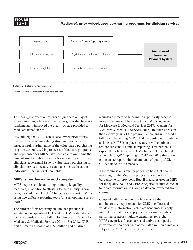

**Medicare's prior value-based purchasing programs for clinician services**



This negligible effect represents a significant outlay of expenditures and clinician time for programs that have not fundamentally improved the quality of care provided to Medicare beneficiaries.

It is unlikely that MIPS can succeed when prior efforts that used the same underlying structure have been unsuccessful. Further, none of the value-based purchasing program designs used in predecessor Medicare programs and repurposed for MIPS have been able to overcome the issue of small numbers of cases for measuring individual clinicians, a perennial issue in value-based purchasing for clinician services because it can make the results at the individual clinician level unreliable.

### **MIPS is burdensome and complex**

MIPS requires clinicians to report multiple quality measures, in addition to attesting to their activity in two categories: ACI and CPIA.<sup>2</sup> Clinicians can report to MIPS using five different reporting tools (plus an optional survey  $tool$ ). $<sup>3</sup>$ </sup>

The burden of this reporting on clinician practices is significant and quantifiable. For 2017, CMS estimated a total cost burden of \$1.3 billion for clinicians (Centers for Medicare & Medicaid Services 2016).<sup>4</sup> For 2018, CMS first estimated a burden of \$857 million and finalized

a burden estimate of \$694 million (primarily because more clinicians will be exempt from MIPS) (Centers for Medicare & Medicaid Services 2017c, Centers for Medicare & Medicaid Services 2016). In other words, in the first two years of the program, clinicians will spend \$2 billion implementing MIPS. And the burden will continue as long as MIPS is in place because it will continue to require substantial clinician reporting. This burden is especially notable because CMS has adopted a phased approach for QPP reporting in 2017 and 2018 that allows clinicians to report minimal amounts of quality, ACI, or CPIA data to avoid a penalty.

The Commission's quality principles hold that quality reporting for the Medicare program should not be burdensome for providers. But all measures used in MIPS for the quality, ACI, and CPIA categories require clinicians to report information to CMS; no data are extracted from claims.

Coupled with the burden for clinicians are the administrative requirements for CMS to collect and validate this information, calculate benchmarks, apply multiple special rules, apply special scoring, combine performance across multiple categories, reweight MIPS categories if necessary, and derive a composite performance score for each of the half a million clinicians subject to a MIPS adjustment each year.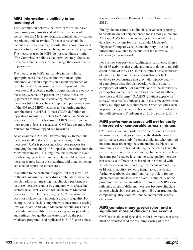### **MIPS information is unlikely to be meaningful**

The Commission believes that Medicare's value-based purchasing programs should address three areas of concern for the Medicare program: clinical quality, patient experience, and cost/value. The measures should be patient oriented, encourage coordination across providers and over time, and promote change in the delivery system. The measures used in MIPS do not meet these criteria. (The Commission believes that providers may choose to use more granular measures to manage their own quality improvement.)

The measures in MIPS are variable in their clinical appropriateness, their association with meaningful outcomes, and their emphasis on patient experience of care. In the MIPS measure set, only 31 percent of the measures and reporting method combinations are outcome measures, whereas 65 percent are process measures (4 percent are structure or efficiency measures). Many measures (of all types) have compressed performance of the 403 total MIPS measures and reporting method combinations in 2017, 113 meet CMS's definition of topped-out measures (Centers for Medicare & Medicaid Services 2017a).<sup>5</sup> But because in MIPS every clinician must report at least six measures, CMS has generally been reluctant to remove topped-out measures.

As an example, CMS will address only six topped-out measures in 2018 (by adjusting the scoring for these measures). CMS is proposing a four-year process for removing the remaining 107 topped-out measures from the MIPS measure set. This long time line is meant to avoid disadvantaging certain clinicians who would be reporting these measures. But in the meantime, additional clinicians can elect to report these measures.

In addition to the problem of topped-out measures, 145 of the 403 measure and reporting combinations have no benchmarks at all, meaning that clinician performance on these measures cannot be compared with a baseline performance level (Centers for Medicare & Medicaid Services 2017a). Furthermore, the MIPS measure set does not include many important aspects of quality. For example, the set lacks comprehensive measures assessing low-value care. And while Medicare beneficiaries face a particular vulnerability in transitioning across providers and settings, few quality measures used by the prior Medicare programs (and replicated in MIPS) assess these transitions (Medicare Payment Advisory Commission 2012).

Finally, the measures that clinicians have been reporting to Medicare do not help patients choose among clinicians. Although CMS has been collecting self-reported quality data from clinicians for over a decade, Medicare's Physician Compare website contains very little quality information available to the public at the individual clinician (or group) level.

For the new category, CPIA, clinicians can choose from a list of 93 activities that clinicians attest to doing to get full credit. Some of the CPIA activities reflect basic standards of care (e.g., training in care coordination) or lack evidence to demonstrate that they will improve quality of care. Some activities also overlap with the quality component of MIPS. For example, one of the activities is participation in the Consumer Assessment of Healthcare Providers and Systems® (CAHPS®) patient experience survey.<sup>6</sup> As a result, clinicians could use some activities to satisfy multiple MIPS requirements. Other activities such as participating in a medical home have mixed evidence on their effectiveness (Friedberg et al. 2014, Schwenk 2014).

### **MIPS performance scores will not be easily interpreted or comparable across clinicians**

CMS will derive composite performance scores for each measure in each category based on the distribution of performance scores only for other clinicians who reported the same measure using the same method (subject to a minimum case size for calculating the benchmark and the performance score). In other words, clinicians who achieve the same performance level on the same quality measure can receive a different score based on the method with which they choose to report (e.g., by means of a registry or EHR). In addition to being inequitable, this design further exacerbates the small-numbers problem for any given measure and adds to the overall complexity of the program. Each clinician will get a composite MIPS score reflecting a mix of different measures because clinicians choose which six measures to report. By construction, the composite quality score will not be comparable across clinicians.

### **MIPS contains many special rules, and a significant share of clinicians are exempt**

CMS has established special rules for how many measures must be reported (and the resulting scoring of those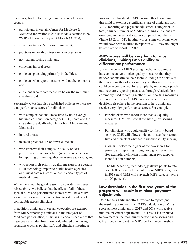measures) for the following clinicians and clinician groups:

- participants in certain Center for Medicare & Medicaid Innovation (CMMI) models deemed to be "MIPS Alternative Payment Models (APMs),"7
- small practices (15 or fewer clinicians),
- practices in health professional shortage areas,
- non-patient-facing clinicians,
- clinicians in rural areas,
- clinicians practicing primarily in facilities,
- clinicians who report measures without benchmarks, and
- clinicians who report measures below the minimum size threshold.

Separately, CMS has also established policies to increase total performance scores for clinicians:

- with complex patients (measured by both average hierarchical condition category (HCC) score and the share that are dually eligible for both Medicare and Medicaid);
- in rural areas:
- in small practices (15 or fewer clinicians);
- who improve their composite quality or cost performance score over time (which can be achieved by reporting different quality measures each year); and
- who report high-priority quality measures, use certain EHR technology, report to public health agencies or clinical data registries, or are in certain types of medical homes.

While there may be good reasons to consider the issues raised above, we believe that the effect of all of these special rules and performance increases will be a MIPS score that has very little connection to value and is not comparable across clinicians.

In addition, clinicians in certain categories are exempt from MIPS reporting: clinicians in the first year of Medicare participation, clinicians in certain specialties that have been excluded from prior value-based purchasing programs (such as podiatrists), and clinicians meeting a

low-volume threshold. CMS has used this low-volume threshold to exempt a significant share of clinicians from MIPS reporting and payment adjustments altogether. In total, a higher number of Medicare-billing clinicians are exempted in the second year as compared with the first (Table 15-2, p. 454). In other words, some clinicians who would have been required to report in 2017 may no longer be required to report in 2018.

### **MIPS scores will be very high for most clinicians, limiting CMS's ability to differentiate performance**

Under the current MIPS scoring mechanism, clinicians have an incentive to select quality measures that they believe can maximize their score. Although the details of the scoring methodology vary by year, this maximizing could be accomplished, for example, by reporting toppedout measures, reporting measures through relatively less commonly used reporting methods, or reporting measures with no benchmarks.<sup>8</sup> CMS has also made explicit decisions elsewhere in the program to help clinicians receive very high performance scores. For example:

- For clinicians who report more than six quality measures, CMS will count the six highest-scoring measures.
- For clinicians who could qualify for facility-based scoring, CMS will allow clinicians to see their scores first and then elect whether to use the facility scoring.
- CMS will select the higher of the two scores for participants reporting through two group practices (for example, a clinician billing under two taxpayer identification numbers).
- The MIPS scoring methodology allows points to total over 100 percent in three out of four MIPS categories in 2018 (and CMS will cap each MIPS category score at 100 percent).

### **Low thresholds in the first two years of the program will result in minimal payment adjustments**

Despite the significant effort involved to report (and the resulting complexity of CMS's calculation of MIPS scores), most clinicians in 2017 and 2018 will receive minimal payment adjustments. This result is attributed to two factors: the maximized performance scores and CMS's decision to set the MIPS performance threshold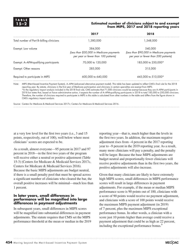**TABLE**

### **15–2 Estimated number of clinicians subject to and exempt from MIPS, 2017 and 2018 reporting years**

|                                           | 2017                                                                                        | 2018                                                                                        |
|-------------------------------------------|---------------------------------------------------------------------------------------------|---------------------------------------------------------------------------------------------|
| Total number of Part B-billing clinicians | 1.380.000                                                                                   | 1,548,000                                                                                   |
| Exempt: Low volume                        | 384,000<br>(Less than \$30,000 in Medicare payments<br>per year or fewer than 100 patients) | 540,000<br>(Less than \$90,000 in Medicare payments<br>per year or fewer than 200 patients) |
| Exempt: A-APM-qualifying participants     | 70,000 to 120,000                                                                           | 185,000 to 250,000*                                                                         |
| Exempt: Other reasons                     | 285,000                                                                                     | 315,000                                                                                     |
| Required to participate in MIPS           | 600,000 to 640,000                                                                          | 445,000 to 510,000*                                                                         |

Note: MIPS (Merit-based Incentive Payment System), A–APM (advanced alternative payment model). This table has been updated to reflect CMS's final rule for the 2018 reporting year. By statute, clinicians in the first year of Medicare participation and clinicians in certain specialties are exempt from MIPS. \*In the regulatory impact analysis included in the 2018 final rule, CMS estimates that 71,000 clinicians would be exempt because they are A–APM participants in 2018 but states that, based on future administrative action, it expects the number of A–APM-qualifying participants in 2018 to total 185,000 to 250,000 clinicians. Therefore, the number of clinicians required to participate in MIPS in this table is calculated from other numbers in the table and differs from the figure shown in CMS's regulatory impact analysis.

Source: Centers for Medicare & Medicaid Services 2017c; Centers for Medicare & Medicaid Services 2016.

at a very low level for the first two years (i.e., 3 and 15 points, respectively, out of 100), well below where most clinicians' scores are expected to be.

As a result, almost everyone—95 percent in 2017 and 97 percent in 2018—in the first two years of the program will receive either a neutral or positive adjustment (Table 15-3) (Centers for Medicare & Medicaid Services 2017c, Centers for Medicare & Medicaid Services 2016). Because the basic MIPS adjustments are budget neutral, if there is a small penalty pool that must be spread across a significant number of clinicians who cleared the bar, the overall positive increases will be minimal—much less than 1 percent.

### **In later years, small differences in performance will be magnified into large differences in payment adjustments**

In subsequent years, small differences in MIPS scores will be magnified into substantial differences in payment adjustments. The statute requires that CMS set the MIPS performance threshold at the mean or median in the 2019

reporting year—that is, much higher than the levels in the first two years. In addition, the maximum negative adjustment rises from –4 percent in the 2017 reporting year to –9 percent in the 2019 reporting year. As a result, many more clinicians will pay a penalty, and the penalty will be larger. Because the base MIPS adjustments are budget neutral and proportionally fewer clinicians will receive positive adjustments than in the first two years, the positive adjustments will also increase.

Given that many clinicians are likely to have extremely high MIPS scores, small differences in MIPS performance scores will result in large differences in payment adjustments. For example, if the mean or median MIPS performance score is 90 points out of 100, clinicians with a score of 90 points would receive no payment adjustment, and clinicians with a score of 100 points would receive the maximum MIPS payment adjustment (in 2019) of 7 percent, plus the maximum MIPS exceptional performance bonus. In other words, a clinician with a score just 10 points higher than average could receive a payment adjustment that could be as high as 22 percent, including the exceptional performance bonus.<sup>9</sup>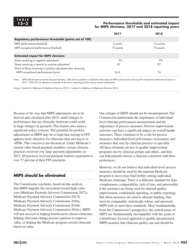### **15–3 Performance thresholds and estimated impact for MIPS clinicians, 2017 and 2018 reporting years**

|                                                               |           | 2018      |
|---------------------------------------------------------------|-----------|-----------|
| <b>Regulatory performance thresholds (points out of 100)</b>  |           |           |
| MIPS performance threshold                                    | 3 points  | 15 points |
| MIPS exceptional performance threshold                        | 70 points | 70 points |
| <b>Estimated impact for MIPS clinicians</b>                   |           |           |
| Share receiving a negative adjustment                         | .5%       | 3%        |
| Share receiving a neutral or positive adjustment              | 9.5       | 97        |
| Share of those receiving a positive adjustment also receiving |           |           |
| MIPS exceptional performance bonus                            | N/A       | 74        |

Note: MIPS (Merit-based Incentive Payment System). CMS did not publish an estimate of the share of MIPS participants receiving the exceptional performance bonus in 2017. CMS did not release an estimate of clinicians receiving positive versus neutral adjustments.

Source: Centers for Medicare & Medicaid Services 2017c; Centers for Medicare & Medicaid Services 2016.

Because of the way that MIPS adjustments are to be derived and calculated after 2018, small changes in performance that are clinically irrelevant could result in large changes in payment. This feature also raises a significant policy concern: The potential for positive adjustments in MIPS may be so high that staying in FFS appears more attractive for clinicians than moving to A– APMs. This concern is not theoretical. Under Medicare's current value-based payment modifier, certain clinician practices received very large payment adjustments; in 2017, 69 practices received payment bonuses equivalent to over 77 percent of their FFS payments.

# **MIPS should be eliminated**

The Commission concludes, based on this analysis, that MIPS impedes the movement toward high-value care (Medicare Payment Advisory Commission 2017a, Medicare Payment Advisory Commission 2017b, Medicare Payment Advisory Commission 2016a, Medicare Payment Advisory Commission 2016b, Medicare Payment Advisory Commission 2016c). MIPS will not succeed in helping beneficiaries choose clinicians, helping clinicians change practice patterns to improve value, or helping the Medicare program reward clinicians based on value.

Our critique of MIPS should not be misinterpreted. The Commission understands the importance of individuallevel clinician performance measurement and the importance of process measures. Process improvement activities can have a significant impact on overall health outcomes. There continues to be a role for process measures, individual-level performance assessment, and measures that vary by clinician practice or specialty. All these elements are key to quality improvement programs run by clinician groups and others, and they can help patients choose a clinician consistent with their preferences.

However, we do not believe that individual-level process measures should be used by the national Medicare program to move trust fund dollars among individual Medicare clinicians. There is a different standard for data completeness, comparability, lack of bias, and universality if the measures are being used for internal quality improvement, confidential reporting, or public reporting. But when measures are used to allocate funding, they must be comparable, statistically robust, and universal. MIPS fails to meet these standards. More fundamentally, from the Commission's perspective, the central tenets of MIPS are fundamentally incompatible with the goals of a beneficiary-focused approach to quality measurement. MIPS assumes that clinician quality can and should be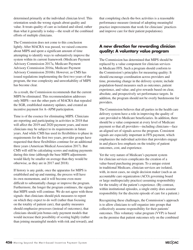determined primarily at the individual clinician level. This orientation sends the wrong signals about quality and value. It treats quality of care as isolated and siloed, rather than what it generally is today—the result of the combined efforts of multiple clinicians.

The Commission does not come to this conclusion lightly. After MACRA was passed, we raised concerns about MIPS and spent a significant amount of time attempting to identify ways to substantively improve the system within its current framework (Medicare Payment Advisory Commission 2017a, Medicare Payment Advisory Commission 2016a, Medicare Payment Advisory Commission 2016b). However, as CMS has issued regulations implementing the first two years of the program, the true complexity and unworkability of MIPS has become clear.

As a result, the Commission recommends that the current MIPS be eliminated. This recommendation addresses only MIPS—not the other parts of MACRA that repealed the SGR, established statutory updates, and created an incentive payment for A–APM participation.

Time is of the essence for eliminating MIPS. Clinicians are reporting and participating in activities in 2018 that will affect the 2019 and 2020 payment years, and more clinicians may be subject to its requirements in future years. And while CMS has used its flexibilities to phase in requirements for the first two years, provider groups have requested that these flexibilities continue for an additional three years (American Medical Association 2017). But CMS will still be calculating scores and making payments during this time (although the base MIPS adjustments would likely be smaller on average than they would be otherwise, as they are in 2017 and 2018).

If history is any guide, once the apparatus for MIPS is established and up and running, the process will have its own momentum, and it will become even more difficult to substantially change or improve the program. Furthermore, the longer the program continues, the signals that MIPS sends will continue. We do not agree with those signals: that clinicians should pick measures to report on which they expect to do well (rather than focusing on the totality of patient care), that quality measures should emphasize processes (instead of outcomes), that clinicians should join bonus-only payment models that would increase their possibility of scoring highly (rather than joining meaningful models with risk and reward), and

that completing check-the-box activities is a reasonable performance measure (instead of adopting meaningful practice improvements that work for clinicians' practices and improve care for their patient populations).

# **A new direction for rewarding clinician quality: A voluntary value program**

The Commission has determined that MIPS should be replaced by a value component for clinician services in Medicare FFS. Such a program should conform to the Commission's principles for measuring quality: It should encourage coordination across providers and time, promoting change in the delivery system; include population-based measures such as outcomes, patient experience, and value; and give rewards based on clear, absolute, and prospectively set performance targets. In addition, the program should not be overly burdensome for providers.

The Commission believes that all parties in the health care delivery system have a role in improving the quality of care provided to Medicare beneficiaries. In addition, there should be a value component at every level of Medicare payment so that all providers—including clinicians—face an aligned set of signals across the program. Consistent signals are especially important in FFS payment, which emphasizes the individual activities that providers engage in and places less emphasis on the totality of patient outcomes, cost, and experience.

Yet the very nature of Medicare's payment system for clinician services complicates the creation of a value-based purchasing program. To a unique extent in traditional Medicare, clinician services are isolated, with, in most cases, no single decision maker (such as an accountable care organization (ACO) governing board or large multispecialty practice) assuming responsibility for the totality of the patient's experience. (By contrast, within institutional episodes, a single entity does assume responsibility for the discrete episode of care for a patient.)

Recognizing these challenges, the Commission's approach is to allow clinicians to self-organize into groups that collectively assume responsibility for their patients' outcomes. This voluntary value program (VVP) is based on the premise that patient outcomes rely on the combined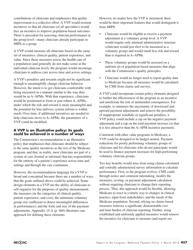contributions of clinicians and emphasizes that quality improvement is a collective effort. A VVP would reorient incentives so that all clinicians (of all specialties) would face an incentive to improve population-based outcomes. There is precedent for assessing clinician performance at the group level—many clinicians already participate in MIPS as a group.

A VVP would measure all clinicians based on the same set of measures: clinical quality, patient experience, and value. Since these measures assess the health care of a population (and generally do not make sense at the individual clinician level), the program would encourage clinicians to address care across time and across settings.

A VVP's penalties and rewards might not be significant enough to meaningfully change clinician behavior. However, the intent is to get clinicians comfortable with being measured in a manner similar to the way they would be in A–APMs. With that experience, clinicians would be positioned to form or join robust A–APMs, under which the risk and reward is more meaningful and the potential for true delivery system reform is within reach. Over time, if additional incentives are needed to help clinicians move to A–APMs, the parameters of a VVP could be modified.

### **A VVP is an illustrative policy; its goals could be achieved in a number of ways**

The Commission's recommendation is an illustrative policy that emphasizes that clinicians should be subject to the same quality incentives as the rest of the Medicare program, and that, in reality, most clinicians are part of a system of care (formal or informal) that has responsibility for the entirety of a patient's experience across time and settings and through the care continuum.

However, the recommendation language for a VVP is broad and conceptual because there are a number of ways that the goals outlined above could be achieved. Some design elements in a VVP are the ability of clinicians to self-organize for the purposes of quality measurement; the measures (in the categories of clinical quality, patient experience, and cost); the minimum voluntary group size (sufficient to detect meaningful differences in performance); and the form and size of the payment adjustments. Appendix 15-A (p. 460) illustrates one approach for defining these elements.

However, no matter how the VVP is structured, there would be three important features that would distinguish it from MIPS:

- Clinicians would be eligible to receive a payment adjustment at a voluntary group level. A VVP would require only minimal administrative structure (clinicians would just elect to be measured as a voluntary group) and would entail less risk and reward than is required in A–APMs.
- These voluntary groups would be assessed on a uniform set of population-based measures that align with the Commission's quality principles.
- Clinicians would no longer need to report quality data to Medicare because all measures would be calculated by CMS from claims and surveys.

A VVP could incorporate certain policy elements designed to further the effectiveness of the program as an incentive and ameliorate the risk of unintended consequences. For example, to minimize the uncertainty of downward and upward payment adjustments and remove the possibility of inappropriate windfalls or significant penalties, a VVP policy could include a cap on the negative payment adjustment and a cap on the total payment increase (so that it is less attractive than the A–APM incentive payment).

Consistent with other value programs in Medicare, a VVP could be designed to be budget neutral. Payment reductions for poorly performing voluntary groups of clinicians and for clinicians who do not participate would be used to finance payment increases for high-performing voluntary clinician groups.

Two key benefits would arise from using claims-calculated and centrally administered survey information to calculate performance. First, as the program evolves, CMS could, through notice and comment rulemaking, modify the measures, scoring, or payment adjustment calculation without requiring clinicians to change their reporting process. Thus, this approach would be flexible, allowing Medicare to react in a timely way to changes in clinical practice, input from stakeholders, and the needs of the Medicare population. Second, relying on claims-based measures removes a significant, demonstrable cost and time burden of clinician reporting. Further, using established and uniformly applied measures would remove the incentive for clinicians to measure (and report on)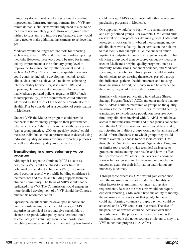things they do well, instead of areas of quality needing improvement. Infrastructure requirements for a VVP are minimal; that is, clinicians would only need to elect to be measured as a voluntary group. However, if groups then wished to substantively improve performance, they would likely need to make additional investments to achieve that goal.

Medicare would no longer require tools for reporting such as registries, EHRs, and other quality-data reporting methods. However, these tools could be used for internal quality improvement at the voluntary group level to improve performance and by other payment models such as A–APMs. Efforts to improve quality measures could continue, including developing methods to add clinical data (such as lab values) to claims, enhancing interoperability between registries and EHRs, and improving claims-calculated measures. To the extent that Medicare pursued policies regarding EHRs (such as interoperability), those requirements could either be addressed by the Office of the National Coordinator for Health IT or be considered as a condition of participation in Medicare.

Under a VVP, the Medicare program could provide feedback to the voluntary groups on their performance relative to others. Other parties in the health care system (e.g., a group practice, ACO, or specialty society) could measure individual clinician performance as desired using individual quality measures for public reporting purposes as well as individual quality improvement efforts.

### **Transitioning to a new voluntary value program**

Although it is urgent to eliminate MIPS as soon as possible, a VVP could be phased in over time. If policymakers decided to phase in a VVP, this process could occur in several ways while building confidence in the measures and results and building support from the clinician community. The flaws of MIPS should not be replicated in a VVP. The Commission would engage in more detailed development of a VVP should the Congress pursue this recommendation.

Operational details would be developed in notice and comment rulemaking, which would leverage CMS expertise on technical issues and give stakeholders a chance to respond. Other policy considerations (such as calculating the voluntary group's composite score, weighting measures and domains, and setting benchmarks) could leverage CMS's experience with other value-based purchasing programs in Medicare.

One approach would be to begin with current measures and easily defined groups. For example, CMS could build on several of its proposals for defining groups. CMS could leverage its work on facility-based measurement and tie all clinicians with a facility site of service on their claims to that facility (for example, all clinicians with either inpatient or outpatient claims from a given hospital). That clinician group could then be scored on quality measures used in Medicare's hospital quality programs, such as mortality, readmissions, patient experience, and Medicare spending per beneficiary. This approach would accustom the clinicians to considering themselves part of a group that influences patients' health outcomes and to using those measures. At first, no money would be attached to the scores; they would be strictly informative.

Similarly, clinicians participating in Medicare Shared Savings Program Track 1 ACOs and other models that are not A–APMs could be measured as groups on the quality measures for their APMs. Those measures would be fully transitioned to include more population measures over time. Any clinicians involved with A–APMs would have access to their measure results and other groups connected with the A–APM. Because no money would be at stake, participating in multiple groups would not be an issue and could inform clinicians as to which groups they would want to eventually choose to be associated with. CMS, through the Quality Improvement Organization Program or similar tools, could provide technical assistance to groups on understanding their results and how to affect their performance. Yet other clinicians could choose to form voluntary groups and be measured on population outcomes, again for their information and without any monetary outcomes.

Through these processes, CMS would gain experience with the measures and be able to derive reliability and other factors to set minimum voluntary group size requirements. Because the measures would not require clinician reporting, CMS would have the ability to modify the measures as necessary. At that point, clinicians could start forming voluntary groups, payment could be attached, and a VVP could start in earnest. The size of the penalties or rewards could be increased over time as confidence in the program increased, as long as the maximum amount did not encourage clinicians to stay in a VVP rather than progress to A–APMs.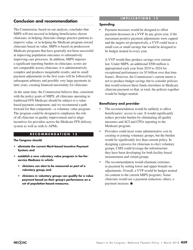# **Conclusion and recommendation**

The Commission, based on our analysis, concludes that MIPS will not succeed in helping beneficiaries choose clinicians, in helping clinicians change practice patterns to improve value, or in helping the Medicare program reward clinicians based on value. MIPS is based on predecessor Medicare programs that have generally not been successful at improving population outcomes or substantively improving care processes. In addition, MIPS imposes a significant reporting burden on clinicians; scores are not comparable across clinicians; it is administratively complex and produces inequitable results; and its small payment adjustments in the first years will be followed by subsequent arbitrary and possibly very large payments in later years, creating financial uncertainty for clinicians.

At the same time, the Commission believes that, consistent with the policy goals of MIPS, all clinicians operating in traditional FFS Medicare should be subject to a valuebased payment component, and we recommend a path forward for that component—a voluntary value program. The program could be designed to emphasize the role of all clinicians in quality improvement and to align incentives for providers across the Medicare FFS delivery system as well as with A–APMs.

### **RECOMMENDATION 15**

### **The Congress should:**

- **• eliminate the current Merit-based Incentive Payment System; and**
- **• establish a new voluntary value program in fee-forservice Medicare in which:**
	- **• clinicians can elect to be measured as part of a voluntary group; and**
	- **• clinicians in voluntary groups can qualify for a value payment based on their group's performance on a set of population-based measures.**

### **IMPLICATIONS 15**

### **Spending**

Payment increases would be designed to offset payment decreases in a VVP. In any given year, if the maximum positive payment adjustments were capped and the targets set prospectively, a VVP could incur a small cost or small savings but would be designed to be budget neutral in every year.

A VVP would thus produce savings over current law. Under MIPS, an additional \$500 million is appropriated each year from 2019 to 2024 for exceptional performance (or \$3 billion over that time frame). However, the Commission's current intent is not to produce budget savings but to consider policies that would reinvest these funds elsewhere in Medicare clinician payment so that, in total, the policies together would be budget neutral.

### **Beneficiary and provider**

- The recommendation would be unlikely to affect beneficiaries' access to care. It would significantly reduce provider burden by eliminating all quality measures and ACI and CPIA reporting to the Medicare program.
- Providers could incur some administrative cost in creating or joining voluntary groups, but the burden would be significantly less than current policy. In designing a process for clinicians to elect voluntary groups, CMS could leverage the infrastructure they have been developing for both facility-based measurement and virtual groups.
- The recommendation would eliminate extremes in payment by setting lower and upper bounds on adjustments. Overall, a VVP would be budget neutral (in contrast to the current MIPS program). Some clinicians would see a payment reduction; others, a payment increase. ■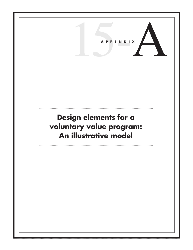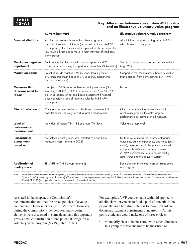### Key differences between current-law MIPS policy **and an illustrative voluntary value program**

|                                                      | <b>Current-law MIPS</b>                                                                                                                                                                                                                                                   | Illustrative voluntary value program                                                                                                                                                                                                                                       |
|------------------------------------------------------|---------------------------------------------------------------------------------------------------------------------------------------------------------------------------------------------------------------------------------------------------------------------------|----------------------------------------------------------------------------------------------------------------------------------------------------------------------------------------------------------------------------------------------------------------------------|
| <b>Covered clinicians</b>                            | All clinicians except those in the following groups:<br>qualified A-APM participants (or partial-qualifying A-APM<br>participants); clinicians in certain specialties; those below the<br>low-volume threshold; or those in their first year of Medicare<br>participation | All clinicians not participating in an A-APM<br>who choose to participate                                                                                                                                                                                                  |
| <b>Maximum negative</b><br>adjustment                | Set in statute for clinicians who do not report any MIPS<br>information and for very low performers (reaches 9% by 2022)                                                                                                                                                  | Set at a fixed amount as a prospective withhold<br>(e.g., 2%)                                                                                                                                                                                                              |
| Maximum bonus                                        | Potential upside reaches 37% by 2022 (scaling factor<br>of 3 times maximum bonus of 9%, plus 10% exceptional<br>performance bonus)                                                                                                                                        | Capped so that the maximum bonus is smaller<br>than potential from participating in A-APMs                                                                                                                                                                                 |
| <b>Measures that</b><br>clinicians need to<br>report | If subject to MIPS, report at least 6 quality measures (plus<br>voluntary CAHPS®), all ACI information, and 6 (or 9) CPIA<br>activities (option for hospital-based assessment if hospital-<br>based specialty; special reporting rules for MIPS APM<br>participants)      | None                                                                                                                                                                                                                                                                       |
| <b>Clinician election</b>                            | Clinicians can elect either hospital-based assessment (if<br>hospital-based specialty) or virtual group measurement                                                                                                                                                       | Clinicians can elect to be measured with<br>a voluntary group sufficiently large for<br>performance assessment on all measures                                                                                                                                             |
| Level of<br>performance<br>measurement               | Individual clinician (TIN/NPI) or group (TIN) level                                                                                                                                                                                                                       | Voluntary group level                                                                                                                                                                                                                                                      |
| <b>Performance</b><br>assessment<br>based on:        | Self-selected quality measures, attested ACI and CPIA<br>measures, cost (starting in 2021)                                                                                                                                                                                | Uniform set of measures in three categories:<br>outcomes, patient experience, and value (cost/<br>value); measures would be patient centered,<br>comparable with measures used to assess<br>A-APM performance and to assess quality<br>across time and the delivery system |
| <b>Application of</b><br>quality score               | TIN/NPI (or TIN if group reporting)                                                                                                                                                                                                                                       | Each clinician in voluntary group, same score<br>across group                                                                                                                                                                                                              |
|                                                      |                                                                                                                                                                                                                                                                           |                                                                                                                                                                                                                                                                            |

Note: MIPS (Merit-based Incentive Payment System), A-APM (advanced alternative payment model), CAHPS® (Consumer Assessment for Healthcare Providers and Systems<sup>®</sup>), ACI (advancing care information), CPIA (clinical practice improvement activities), MIPS APM (Merit-based Incentive Payment System Alternative Payment Model), TIN/NPI (taxpayer identification number/national provider identifier).

As stated in the chapter, the Commission's recommendation outlines the broad policies of a value component in fee-for-service (FFS) Medicare. However, during the Commission's deliberation, many design elements were discussed in some detail, and this appendix gives a detailed illustration of one potential design for a voluntary value program (VVP) (Table 15-A1).

For example, a VVP could entail a withhold applied to all clinicians' payments to fund a pool of potential value payments. An alternative policy is to make upward and downward payment adjustments concurrently. At this point, clinicians would make one of three choices:

voluntarily elect to be measured with other clinicians in a group of sufficient size to be measured on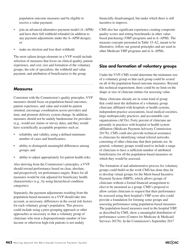population outcome measures and be eligible to receive a value payment;

- join an advanced alternative payment model (A–APM) and have their full withhold refunded (in addition to any payment adjustments under the A–APM design); or
- make no election and lose their withhold.

The most salient design elements in a VVP would include selection of measures that focus on clinical quality, patient experience, and cost; size and formation of the voluntary groups; the role of specialists; the withhold and value payment; and attribution of beneficiaries to the group.

# **Measures**

Consistent with the Commission's quality principles, VVP measures should focus on population-based outcomes, patient experience, and value and would be patient oriented, encourage coordination across providers and time, and promote delivery system change. In addition, measures should not be unduly burdensome for providers (e.g., would use claims or survey data), and they would have scientifically acceptable properties such as:

- reliability and validity, using a defined minimum number of cases and beneficiaries;
- ability to distinguish meaningful differences among groups; and
- ability to adjust appropriately for patient health risks.

Also deriving from the Commission's principles, a VVP should reward performance based on clear, absolute, and prospectively set performance targets. Rates for all measures would be risk adjusted for beneficiary health characteristics (e.g., by using hierarchical condition categories).

Separately, the payment adjustments resulting from the population-based measures in a VVP should take into account, as necessary, differences in the social risk factors for each voluntary group's population. This process could include using a peer-grouping approach or other approaches as necessary so that a voluntary group of clinicians who treat a disproportionate number of lowincome or otherwise high-risk patients is not unduly

financially disadvantaged, but under which there is still incentive to improve.

CMS also has significant experience creating composite quality scores and setting benchmarks in other valuebased purchasing (VBP) programs and in A–APMs. The measure concepts presented in Table 15-A2, meant to be illustrative, follow our general principles and are used in other Medicare VBP programs and in A–APMs.

### **Size and formation of voluntary groups**

Under the VVP, CMS would determine the minimum size of a voluntary group so that each group could be scored on all of the population-based outcome measures. Beyond this technical requirement, there could be no limit on the shape or size of clinician entities for assessing value.

Many clinicians already are in some kind of group that could meet the definition of a voluntary group: clinicians affiliated with hospitals or health systems, independent practice associations, local medical societies, large multispecialty practices, and accountable care organizations (ACOs). Forty percent of clinicians are presently in practices with hospital or health system affiliation (Medicare Payment Advisory Commission 2017b). CMS could also provide technical assistance to clinicians by identifying virtual referral networks consisting of other clinicians that their patients see. In general, voluntary groups would need to include a range of clinicians to have a sufficient number of attributed beneficiaries for all the population-based measures on which they would be assessed.

The formation of and administrative process for voluntary groups could build on the work CMS has done thus far to develop virtual groups for the Merit-based Incentive Payment System (MIPS), which allows groups of clinicians without a formal financial arrangement to elect to be measured as a group. CMS's proposal to allow certain clinicians to request that their performance be assessed using their hospital's VBP score also could provide a foundation for forming some groups and assessing performance using population-based measures. The population-based measures used in the hospital VBP, as described by CMS, show a meaningful distribution of performance scores (Centers for Medicare & Medicaid Services 2017b). In the Commission's September 2017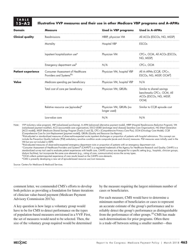### **TABLE 15–A2 Illustrative VVP measures and their use in other Medicare VBP programs and A–APMs**

| <b>Domain</b>             | <b>Measure</b>                                                      | <b>Used in VBP programs</b>             | <b>Used in A-APMs</b>                                                                    |
|---------------------------|---------------------------------------------------------------------|-----------------------------------------|------------------------------------------------------------------------------------------|
| <b>Clinical quality</b>   | Readmissions                                                        | HRRP, physician VM                      | All ACOs (ESCOs, NG, MSSP)                                                               |
|                           | Mortality                                                           | Hospital VBP                            | <b>ESCOs</b>                                                                             |
|                           | Inpatient hospitalization use <sup>a</sup>                          | Physician VM                            | CPC+, OCM, All ACOs (ESCOs,<br>NG, MSSP)                                                 |
|                           | Emergency department use <sup>b</sup>                               | N/A                                     | CPC+, OCM                                                                                |
| <b>Patient experience</b> | <b>Consumer Assessment of Healthcare</b><br>Providers and Systems®c | Physician VM, hospital VBP              | All A-APMs (CCJR, CPC+,<br>ESCOs, NG, MSSP, OCM <sup>d</sup> )                           |
| Value                     | Medicare spending per beneficiary                                   | Physician VM, hospital VBP              | N/A                                                                                      |
|                           | Total cost of care per beneficiary                                  | Physician VM, QRURs                     | Similar to shared savings<br>benchmarks CPC+, OCM, All<br>ACOs (ESCOs, NG, MSSP,<br>OCM) |
|                           | Relative resource use (episodes) <sup>e</sup>                       | Physician VM, QRURs (no<br>longer used) | Similar to CCJR episode cost                                                             |
|                           | Low-value care                                                      | N/A                                     | N/A                                                                                      |

Note: VVP (voluntary value program), VBP (value-based purchasing), A–APM (advanced alternative payment model), HRRP (Hospital Readmissions Reduction Program), VM (value-based payment modifier), ACO (accountable care organization), ESCO (ESRD [end-stage renal disease] Seamless Care Organization), NG (Next Generation [ACO model]), MSSP (Medicare Shared Savings Program [Tracks 2 and 3]), CPC+ (Comprehensive Primary Care Plus), OCM (Oncology Care Model), CCJR (Comprehensive Care for Joint Replacement [payment model]), QRURs (Quality and Resource Use Reports).

<sup>a</sup>Risk-adjusted or standardized measures of observed-to-expected acute inpatient discharges or proportion of patients with hospital admissions. This concept can include the Prevention Quality Indicator (PQI) ambulatory sensitive condition acute composite (acute and chronic) measures. PQI measures were initially used in the VM but are not included in MIPS.

bRisk-adjusted measures of observed-to-expected emergency department visits or proportion of patients with an emergency department visit.

cConsumer Assessment of Healthcare Providers and Systems® (CAHPS®) is a registered trademark of the Agency for Healthcare Research and Quality. CAHPS is a standardized survey tool used to evaluate patient experiences with health care. CAHPS surveys are designed for a specific setting (e.g., hospitals, clinician groups, dialysis facilities), but incorporate the same core elements (e.g., rating of care, communication) across the survey types.

dOCM collects patient-reported experience of care results based on the CAHPS core elements.

eCMS is presently developing a new set of episode-based resource use/cost measures.

Source: Centers for Medicare & Medicaid Services.

comment letter, we commended CMS's efforts to develop both policies as providing a foundation for future iterations of clinician value-based payment (Medicare Payment Advisory Commission 2017a).

A key question is how large a voluntary group would have to be for CMS to detect performance on the types of population-based measures envisioned in a VVP. First, the set of measures would need to be selected. Then, the size of the voluntary group required would be determined

by the measure requiring the largest minimum number of cases or beneficiaries.

For each measure, CMS would have to determine a minimum number of beneficiaries or cases to represent an accurate estimate of the group's performance and to reliably detect the group's performance as distinguishable from the performance of other groups.<sup>10</sup> CMS has made such determinations for prior programs. Often there is a trade-off between setting a smaller number—thus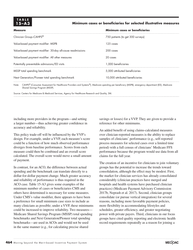# **TABLE**

### **15–A3 Minimum cases or beneficiaries for selected illustrative measures**

| <b>Measure</b>                                                                                                                                                                   | Minimum cases or beneficiaries    |  |
|----------------------------------------------------------------------------------------------------------------------------------------------------------------------------------|-----------------------------------|--|
| Clinician Group-CAHPS®                                                                                                                                                           | 750 patients (to get 300 surveys) |  |
| Value-based payment modifier: MSPB                                                                                                                                               | 125 cases                         |  |
| Value-based payment modifier: 30-day all-cause readmissions                                                                                                                      | 200 cases                         |  |
| Value-based payment modifier: All other measures                                                                                                                                 | 20 cases                          |  |
| Potentially preventable admissions/ED visits                                                                                                                                     | 1,000 beneficiaries               |  |
| MSSP total spending benchmark                                                                                                                                                    | 5.000 attributed beneficiaries    |  |
| Next Generation/Pioneer total spending benchmark                                                                                                                                 | 10,000 attributed beneficiaries   |  |
| Note: CAHPC <sup>®</sup> (Consumer Assessment for Healthcare Providers and Systems <sup>®</sup> ). Medicare spending per beneficiary (MSPR), emergency department (ED), Medicare |                                   |  |

Note: CAHPS® (Consumer Assessment for Healthcare Providers and Systems®), Medicare spending per beneficiary (MSPB), emergency department (ED), Medicare Shared Savings Program (MSSP).

Source: Centers for Medicare & Medicaid Services, Agency for Healthcare Research and Quality, 3M.

including more providers in the program—and setting a larger number—thus achieving greater confidence in accuracy and reliability.

This policy trade-off will be influenced by the VVP's design. For example, under a VVP, each measure's score could be a function of how much observed performance diverges from baseline performance. Scores from each measure could then be combined and an overall score calculated. The overall score would move a small amount of payment.

In contrast, for an ACO, the difference between actual spending and the benchmark can translate directly to a dollar-for-dollar payment change. Much greater accuracy and reliability of performance is thus required in the ACO case. Table 15-A3 gives some examples of the minimum number of cases or beneficiaries CMS and others have determined is necessary for some measures. Under CMS's value modifier, there appears to have been a preference for small minimum case sizes to include as many clinicians as possible; under a VVP, these minimums could be increased to improve reliability. Two measures— Medicare Shared Savings Program (MSSP) total spending benchmarks and Next Generation/Pioneer total spending benchmarks—are used in ACOs and would not be used in the same manner (e.g., for calculating precise shared

savings or losses) for a VVP. They are given to provide a reference for other minimums.

An added benefit of using claims-calculated measures over clinician-reported measures is the ability to replace samples of clinicians' performance (e.g., self-reported process measures for selected cases over a limited time period) with a full census of clinicians' Medicare FFS performance because the program would use data from all claims for the full year.

The creation of an incentive for clinicians to join voluntary groups has the potential to increase the trends toward consolidation, although the effect may be modest. First, the market for clinician services has already consolidated considerably (clinician practices have merged and hospitals and health systems have purchased clinician practices) (Medicare Payment Advisory Commission 2017b, Neprash et al. 2017). Second, clinician groups consolidate (or pursue vertical integration) for several reasons, including more favorable payment policies, more flexibility in accommodating lifestyles and schedules, greater efficiency, and greater negotiating power with private payers. Third, clinicians in our focus groups have cited quality reporting and electronic health record requirements repeatedly as a reason for joining a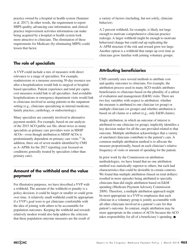practice owned by a hospital or health system (Summer et al. 2017). In other words, the requirement to report MIPS quality, advancing care information, and clinical practice improvement activities information can make being acquired by a hospital or health system look more attractive to clinicians. The elimination of these requirements for Medicare (by eliminating MIPS) could lessen that factor.

### **The role of specialists**

A VVP could include a mix of measures with direct relevance to a range of specialties. For example, readmissions or a measure assessing 30-day resource use after a hospitalization would link to surgical or hospitalbased specialties. Patient experience and total per capita cost measures would link to all specialties. And avoidable hospitalizations or emergency department visits would link to clinicians involved in seeing patients in the outpatient setting (e.g., clinicians specializing in internal medicine, family practice, cardiology, or endocrinology).

Many specialists are currently involved in alternative payment models. For example, based on our analysis of the 2015 ACO public use file, about twice as many specialists as primary care providers were in MSSP ACOs—even though attribution to MSSP ACOs is predominantly dependent on primary care visits.<sup>11</sup> In addition, three out of seven models identified by CMS as A–APMs for the 2017 reporting year focused on conditions generally treated by specialists (other than primary care).

### **Amount of the withhold and the value payment**

For illustrative purposes, we have described a VVP with a withhold. The amount of the withhold or penalty is a policy decision; it could be larger or smaller or could grow over time. A relatively small withhold could be appropriate if a VVP's goal were to get clinicians comfortable with the idea of joining with others to be accountable for population outcomes. Keeping the withhold and rewards relatively modest would also help address the criticism that these population outcome measures are the result of

a variety of factors (including, but not solely, clinician behavior).

A 2 percent withhold, for example, is likely not large enough to motivate comprehensive clinician practice redesign. A larger withhold might be enough to motivate behavioral change but could end up replicating the A–APM structure if the risk and reward grew too large. Another option is a withhold that ramps up over time as clinicians grow familiar with joining voluntary groups.

### **Attributing beneficiaries**

CMS currently uses several methods to attribute cost and quality outcomes to clinicians. For example, the attribution process used in many ACO models attributes beneficiaries to clinicians based on the plurality of a subset of evaluation and management (E&M) visits. There are two key variables with respect to attribution: whether the measure is attributed to one clinician (or group) or multiple clinicians (or groups) and whether attribution is based on all claims or a subset (e.g., only E&M claims).

Single attribution, in which an outcome of interest is attributed to one clinician (or group), implicitly identifies a key decision maker for all the care provided related to that outcome. Multiple attribution acknowledges that a variety of unrelated clinicians contribute to the patient's care. A common multiple attribution method is to allocate the measure proportionally, based on each clinician's relative frequency of visits or amount of spending for the patient.

In prior work by the Commission on attribution methodologies, we have found that no one attribution method was statistically superior to others, but each had characteristics that could be desirable in certain contexts. We found that multiple attribution (based on total dollars) resulted in more episodes being attributed to specialty clinicians than did single attribution based on E&M spending (Medicare Payment Advisory Commission 2009). Therefore, a multiple attribution approach might be most appropriate in a VVP to emphasize that each clinician in a voluntary group is jointly accountable with all other clinicians involved in a patient's care for that patient's outcome. In contrast, single attribution may be more appropriate in the context of ACOs because the ACO takes responsibility for all of a beneficiary's spending. ■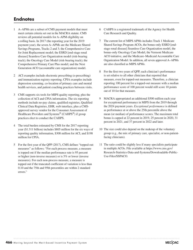## **Endnotes**

- 1 A–APMs are a subset of CMS payment models that must meet certain criteria set out in the MACRA statute. CMS reviews all potential models for A–APM eligibility on a rolling basis. In 2017 (the reporting year for the 2019 payment year), the seven A–APMs are the Medicare Shared Savings Programs, Tracks 2 and 3; the Comprehensive Care for Joint Replacement model; the ESRD [end-stage renal disease] Seamless Care Organization model (risk-bearing track); the Oncology Care Model (risk-bearing track); the Comprehensive Primary Care Plus model; and the Next Generation ACO (accountable care organization) model.
- 2 ACI examples include electronic prescribing (e-prescribing) and immunization registry reporting. CPIA examples include depression screening, co-location of primary care and mental health services, and patient coaching practices between visits.
- 3 CMS supports six tools for MIPS quality reporting, plus the collection of ACI and CPIA information. The six reporting methods include no-pay claims, qualified registries, Qualified Clinical Data Registries, EHR, web interface, plus a CMSapproved survey vendor for the Consumer Assessment of Healthcare Providers and Systems<sup>®</sup> (CAHPS<sup>®</sup>) if group practices elect to conduct the CAHPS.
- 4 The total burden estimated by CMS for the 2017 reporting year (\$1.311 billion) includes \$805 million for the six ways of reporting quality information, \$308 million for ACI, and \$198 million for CPIA.
- 5 For the first year of the QPP (2017), CMS defines "topped-out measures" as follows: "For each process measure, a measure is topped out if the median performance rate is 95 percent or higher (non-inverse measure) or is 5% or lower (inverse measures). For each non-process measure, a measure is topped out if the truncated coefficient of variation is less than 0.10 and the 75th and 95th percentiles are within 2 standard errors."
- 6 CAHPS is a registered trademark of the Agency for Health Care Research and Quality.
- 7 The current list of MIPS APMs includes Track 1 Medicare Shared Savings Program ACOs, the bonus-only ESRD [endstage renal disease] Seamless Care Organization model, the bonus-only Oncology Care Model, the Vermont Medicare ACO initiative, and the Medicare–Medicaid Accountable Care Organization Model. In addition, all seven approved A–APMs are also classified as MIPS APMs.
- 8 For the first two years of QPP, each clinician's performance is set relative to all other clinicians that reported that measure, even for topped-out measures. Therefore, a clinician reporting 100 percent for a topped-out measure with a median performance score of 100 percent would still score 10 points out of 10 for that measure.
- 9 MACRA appropriated an additional \$500 million each year for exceptional performance in MIPS from the 2019 through the 2024 payment years. *Exceptional performance* is defined as performance at or above the 25th percentile above the mean (or median) of performance scores. The maximum total bonus is capped at 22 percent in 2019, 25 percent in 2020, 31 percent in 2021, and 37 percent in 2022 and later.
- 10 The size could also depend on the makeup of the voluntary group (e.g., the mix of primary care, specialist, or non-patientfacing clinicians).
- 11 The ratio could be slightly less if many specialists participate in multiple ACOs. File available at https://www.cms.gov/ Research-Statistics-Data-and-Systems/Downloadable-Public-Use-Files/SSPACO.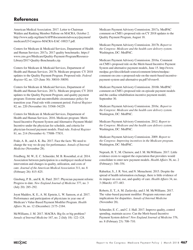### **References**

American Medical Association. 2017. Letter to Chairman Walden and Ranking Member Pallone on MACRA, October 2. http://www.aafp.org/dam/AAFP/documents/advocacy/payment/ medicare/LT-Congress-MACRA-EAC-100217.pdf.

Centers for Medicare & Medicaid Services, Department of Health and Human Services. 2017a. 2017 quality benchmarks. https:// www.cms.gov/Medicare/Quality-Payment-Program/Resource-Library/2017-Quality-Benchmarks.zip.

Centers for Medicare & Medicaid Services, Department of Health and Human Services. 2017b. Medicare program: CY 2018 updates to the Quality Payment Program. Proposed rule. *Federal Register* 82, no. 125 (June 30): 30010–30050.

Centers for Medicare & Medicaid Services, Department of Health and Human Services. 2017c. Medicare program; CY 2018 updates to the Quality Payment Program; and quality payment program: Extreme and uncontrollable circumstance policy for transition year. Final rule with comment period. *Federal Register* 82, no. 220 (November 16): 53568–54229.

Centers for Medicare & Medicaid Services, Department of Health and Human Services. 2016. Medicare program: Meritbased Incentive Payment System and Alternative Payment Model Incentive under the physician fee schedule, and criteria for physician-focused payment models. Final rule. *Federal Register* 81, no. 214 (November 4): 77008–77831.

Frakt, A. B., and A. K. Jha. 2017. Face the facts: We need to change the way we do pay for performance. *Annals of Internal Medicine* (November 28).

Friedberg, M. W., E. C. Schneider, M. B. Rosenthal, et al. 2014. Association between participation in a multipayer medical home intervention and changes in quality, utilization, and costs of care. *Journal of the American Medical Association* 311, no. 8 (February 26): 815–825.

Ginsburg, P. B., and K. K. Patel. 2017. Physician payment reform: Progress to date. *New England Journal of Medicine* 377, no. 3 (July 20): 285–292.

Joynt Maddox, K. E., A. M. Epstein, L. W. Samson, et al. 2017. Performance and participation of physicians in year one of Medicare's Value-Based Payment Modifier Program. *Health Affairs* 36, no. 12 (December): 2175–2184.

McWilliams, J. M. 2017. MACRA: Big fix or big problem? *Annals of Internal Medicine* 167, no. 2 (July 18): 122–124.

Medicare Payment Advisory Commission. 2017a. MedPAC comment on CMS's proposed rule on CY 2018 updates to the Quality Payment Program, August 18.

Medicare Payment Advisory Commission. 2017b. *Report to the Congress: Medicare and the health care delivery system*. Washington, DC: MedPAC.

Medicare Payment Advisory Commission. 2016a. Comment on CMS's proposed rule on the Merit-based Incentive Payment System and alternative payment models, June 15. http://www. medpac.gov/docs/default-source/comment-letters/medpaccomment-on-cms-s-proposed-rule-on-the-merit-based-incentivepayment-system-and-alternative-pa.pdf?sfvrsn=0.

Medicare Payment Advisory Commission. 2016b. MedPAC comment on CMS's proposed rule on episode payment models and the cardiac rehabilitation incentive payment model, September 30.

Medicare Payment Advisory Commission. 2016c. *Report to the Congress: Medicare and the health care delivery system*. Washington, DC: MedPAC.

Medicare Payment Advisory Commission. 2012. *Report to the Congress: Medicare and the health care delivery system*. Washington, DC: MedPAC.

Medicare Payment Advisory Commission. 2009. *Report to the Congress: Improving incentives in the Medicare program*. Washington, DC: MedPAC.

Neprash, H. T., M. Chernew, and J. M. McWilliams. 2017. Little evidence exists to support the expectation that providers would consolidate to enter new payment models. *Health Affairs* 36, no. 2 (February): 346–354.

Rahurkar, S., J. R. Vest, and N. Menachemi. 2015. Despite the spread of health information exchange, there is little evidence of its impact on cost, use, and quality of care. *Health Affairs* 34, no. 3 (March): 477–483.

Roberts, E. T., A. M. Zaslavsky, and J. M. McWilliams. 2017. The value-based payment modifier: Program outcomes and implications for disparities. *Annals of Internal Medicine* (November 28).

Schneider, E. C., and C. J. Hall. 2017. Improve quality, control spending, maintain access: Can the Merit-based Incentive Payment System deliver? *New England Journal of Medicine* 376, no. 8 (February 23): 708–710.